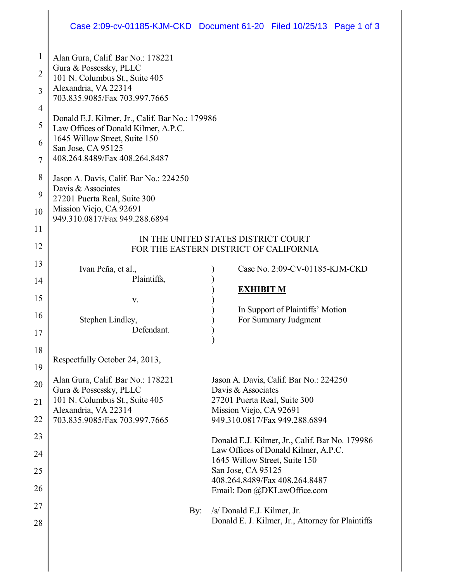# Case 2:09-cv-01185-KJM-CKD Document 61-20 Filed 10/25/13 Page 1 of 3

| 1  | Alan Gura, Calif. Bar No.: 178221                                             |                                                                                        |
|----|-------------------------------------------------------------------------------|----------------------------------------------------------------------------------------|
| 2  | Gura & Possessky, PLLC                                                        |                                                                                        |
| 3  | 101 N. Columbus St., Suite 405<br>Alexandria, VA 22314                        |                                                                                        |
|    | 703.835.9085/Fax 703.997.7665                                                 |                                                                                        |
| 4  | Donald E.J. Kilmer, Jr., Calif. Bar No.: 179986                               |                                                                                        |
| 5  | Law Offices of Donald Kilmer, A.P.C.                                          |                                                                                        |
| 6  | 1645 Willow Street, Suite 150<br>San Jose, CA 95125                           |                                                                                        |
| 7  | 408.264.8489/Fax 408.264.8487                                                 |                                                                                        |
| 8  | Jason A. Davis, Calif. Bar No.: 224250                                        |                                                                                        |
| 9  | Davis & Associates<br>27201 Puerta Real, Suite 300                            |                                                                                        |
| 10 | Mission Viejo, CA 92691<br>949.310.0817/Fax 949.288.6894                      |                                                                                        |
| 11 |                                                                               |                                                                                        |
| 12 | IN THE UNITED STATES DISTRICT COURT<br>FOR THE EASTERN DISTRICT OF CALIFORNIA |                                                                                        |
| 13 | Ivan Peña, et al.,                                                            | Case No. 2:09-CV-01185-KJM-CKD                                                         |
| 14 | Plaintiffs,                                                                   |                                                                                        |
| 15 | V.                                                                            | <b>EXHIBIT M</b>                                                                       |
| 16 |                                                                               | In Support of Plaintiffs' Motion                                                       |
| 17 | Stephen Lindley,<br>Defendant.                                                | For Summary Judgment                                                                   |
|    |                                                                               |                                                                                        |
| 18 | Respectfully October 24, 2013,                                                |                                                                                        |
| 19 |                                                                               |                                                                                        |
| 20 | Alan Gura, Calif. Bar No.: 178221<br>Gura & Possessky, PLLC                   | Jason A. Davis, Calif. Bar No.: 224250<br>Davis & Associates                           |
| 21 | 101 N. Columbus St., Suite 405                                                | 27201 Puerta Real, Suite 300                                                           |
| 22 | Alexandria, VA 22314<br>703.835.9085/Fax 703.997.7665                         | Mission Viejo, CA 92691<br>949.310.0817/Fax 949.288.6894                               |
| 23 |                                                                               |                                                                                        |
| 24 |                                                                               | Donald E.J. Kilmer, Jr., Calif. Bar No. 179986<br>Law Offices of Donald Kilmer, A.P.C. |
|    |                                                                               | 1645 Willow Street, Suite 150                                                          |
| 25 |                                                                               | San Jose, CA 95125<br>408.264.8489/Fax 408.264.8487                                    |
| 26 |                                                                               | Email: Don @DKLawOffice.com                                                            |
| 27 | By:                                                                           | /s/ Donald E.J. Kilmer, Jr.                                                            |
| 28 |                                                                               | Donald E. J. Kilmer, Jr., Attorney for Plaintiffs                                      |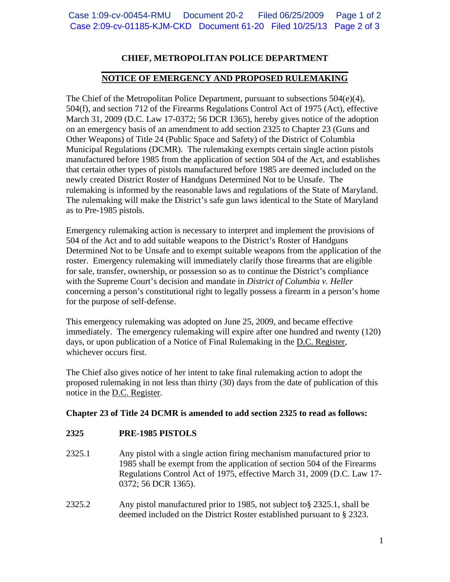# **CHIEF, METROPOLITAN POLICE DEPARTMENT**

#### **\_\_\_\_\_\_\_\_\_\_\_\_\_\_\_\_\_\_\_\_\_\_\_\_\_\_\_\_\_\_\_\_\_\_\_\_\_\_\_\_\_\_\_\_\_\_\_\_\_\_\_\_\_\_\_\_ NOTICE OF EMERGENCY AND PROPOSED RULEMAKING**

The Chief of the Metropolitan Police Department, pursuant to subsections 504(e)(4), 504(f), and section 712 of the Firearms Regulations Control Act of 1975 (Act), effective March 31, 2009 (D.C. Law 17-0372; 56 DCR 1365), hereby gives notice of the adoption on an emergency basis of an amendment to add section 2325 to Chapter 23 (Guns and Other Weapons) of Title 24 (Public Space and Safety) of the District of Columbia Municipal Regulations (DCMR). The rulemaking exempts certain single action pistols manufactured before 1985 from the application of section 504 of the Act, and establishes that certain other types of pistols manufactured before 1985 are deemed included on the newly created District Roster of Handguns Determined Not to be Unsafe. The rulemaking is informed by the reasonable laws and regulations of the State of Maryland. The rulemaking will make the District's safe gun laws identical to the State of Maryland as to Pre-1985 pistols.

Emergency rulemaking action is necessary to interpret and implement the provisions of 504 of the Act and to add suitable weapons to the District's Roster of Handguns Determined Not to be Unsafe and to exempt suitable weapons from the application of the roster. Emergency rulemaking will immediately clarify those firearms that are eligible for sale, transfer, ownership, or possession so as to continue the District's compliance with the Supreme Court's decision and mandate in *District of Columbia v. Heller* concerning a person's constitutional right to legally possess a firearm in a person's home for the purpose of self-defense.

This emergency rulemaking was adopted on June 25, 2009, and became effective immediately. The emergency rulemaking will expire after one hundred and twenty (120) days, or upon publication of a Notice of Final Rulemaking in the D.C. Register, whichever occurs first.

The Chief also gives notice of her intent to take final rulemaking action to adopt the proposed rulemaking in not less than thirty (30) days from the date of publication of this notice in the D.C. Register.

# **Chapter 23 of Title 24 DCMR is amended to add section 2325 to read as follows:**

## **2325 PRE-1985 PISTOLS**

- 2325.1 Any pistol with a single action firing mechanism manufactured prior to 1985 shall be exempt from the application of section 504 of the Firearms Regulations Control Act of 1975, effective March 31, 2009 (D.C. Law 17- 0372; 56 DCR 1365).
- 2325.2 Any pistol manufactured prior to 1985, not subject to§ 2325.1, shall be deemed included on the District Roster established pursuant to § 2323.